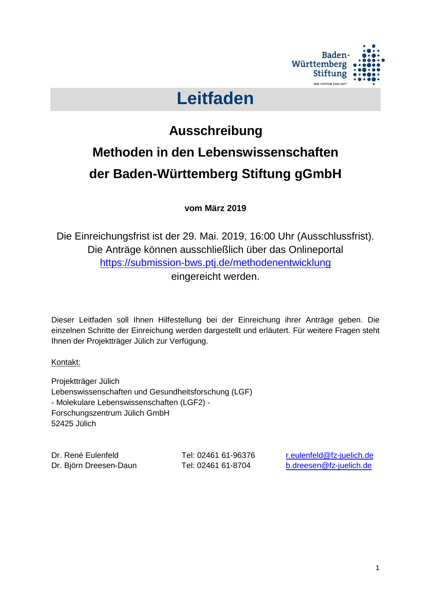

# **Leitfaden**

# **Ausschreibung Methoden in den Lebenswissenschaften der Baden-Württemberg Stiftung gGmbH**

**vom März 2019**

Die Einreichungsfrist ist der 29. Mai. 2019, 16:00 Uhr (Ausschlussfrist). Die Anträge können ausschließlich über das Onlineportal <https://submission-bws.ptj.de/methodenentwicklung> eingereicht werden.

Dieser Leitfaden soll Ihnen Hilfestellung bei der Einreichung ihrer Anträge geben. Die einzelnen Schritte der Einreichung werden dargestellt und erläutert. Für weitere Fragen steht Ihnen der Projektträger Jülich zur Verfügung.

Kontakt:

Projektträger Jülich Lebenswissenschaften und Gesundheitsforschung (LGF) - Molekulare Lebenswissenschaften (LGF2) - Forschungszentrum Jülich GmbH 52425 Jülich

Dr. René Eulenfeld Tel: 02461 61-96376 [r.eulenfeld@fz-juelich.de](mailto:r.eulenfeld@fz-juelich.de) Dr. Björn Dreesen-Daun Tel: 02461 61-8704 [b.dreesen@fz-juelich.de](mailto:b.dreesen@fz-juelich.de)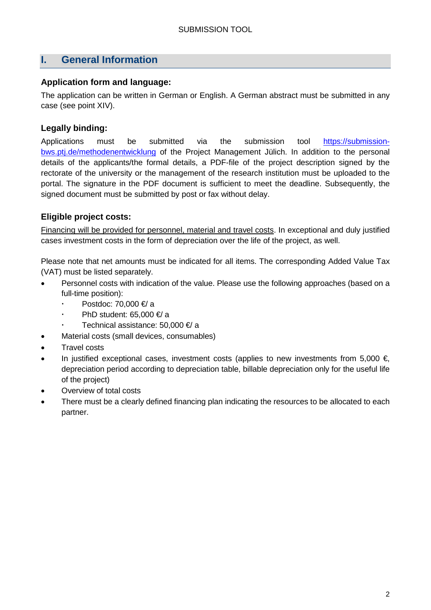# **I. General Information**

#### **Application form and language:**

The application can be written in German or English. A German abstract must be submitted in any case (see point XIV).

## **Legally binding:**

Applications must be submitted via the submission tool [https://submission](https://submission-bws.ptj.de/methodenentwicklung)[bws.ptj.de/methodenentwicklung](https://submission-bws.ptj.de/methodenentwicklung) of the Project Management Jülich. In addition to the personal details of the applicants/the formal details, a PDF-file of the project description signed by the rectorate of the university or the management of the research institution must be uploaded to the portal. The signature in the PDF document is sufficient to meet the deadline. Subsequently, the signed document must be submitted by post or fax without delay.

## **Eligible project costs:**

Financing will be provided for personnel, material and travel costs. In exceptional and duly justified cases investment costs in the form of depreciation over the life of the project, as well.

Please note that net amounts must be indicated for all items. The corresponding Added Value Tax (VAT) must be listed separately.

- Personnel costs with indication of the value. Please use the following approaches (based on a full-time position):
	- Postdoc: 70,000 €/ a
	- PhD student: 65,000 €/ a
	- Technical assistance: 50,000 €/ a
- Material costs (small devices, consumables)
- Travel costs
- In justified exceptional cases, investment costs (applies to new investments from 5,000  $\epsilon$ , depreciation period according to depreciation table, billable depreciation only for the useful life of the project)
- Overview of total costs
- There must be a clearly defined financing plan indicating the resources to be allocated to each partner.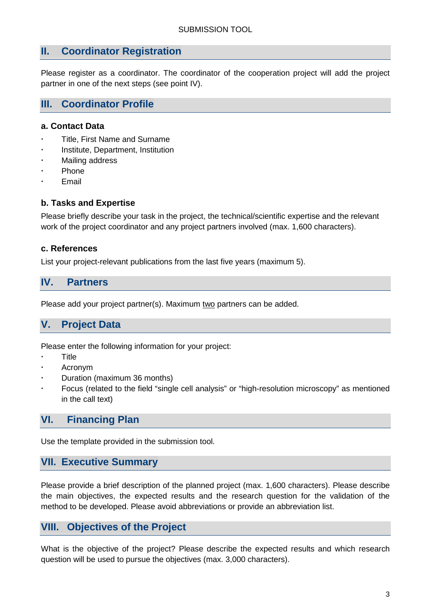## **II. Coordinator Registration**

Please register as a coordinator. The coordinator of the cooperation project will add the project partner in one of the next steps (see point IV).

# **III. Coordinator Profile**

#### **a. Contact Data**

- Title, First Name and Surname
- Institute, Department, Institution
- Mailing address
- Phone
- Email

#### **b. Tasks and Expertise**

Please briefly describe your task in the project, the technical/scientific expertise and the relevant work of the project coordinator and any project partners involved (max. 1,600 characters).

#### **c. References**

List your project-relevant publications from the last five years (maximum 5).

## **IV. Partners**

Please add your project partner(s). Maximum two partners can be added.

# **V. Project Data**

Please enter the following information for your project:

- **Title**
- Acronym
- Duration (maximum 36 months)
- Focus (related to the field "single cell analysis" or "high-resolution microscopy" as mentioned in the call text)

## **VI. Financing Plan**

Use the template provided in the submission tool.

## **VII. Executive Summary**

Please provide a brief description of the planned project (max. 1,600 characters). Please describe the main objectives, the expected results and the research question for the validation of the method to be developed. Please avoid abbreviations or provide an abbreviation list.

## **VIII. Objectives of the Project**

What is the objective of the project? Please describe the expected results and which research question will be used to pursue the objectives (max. 3,000 characters).